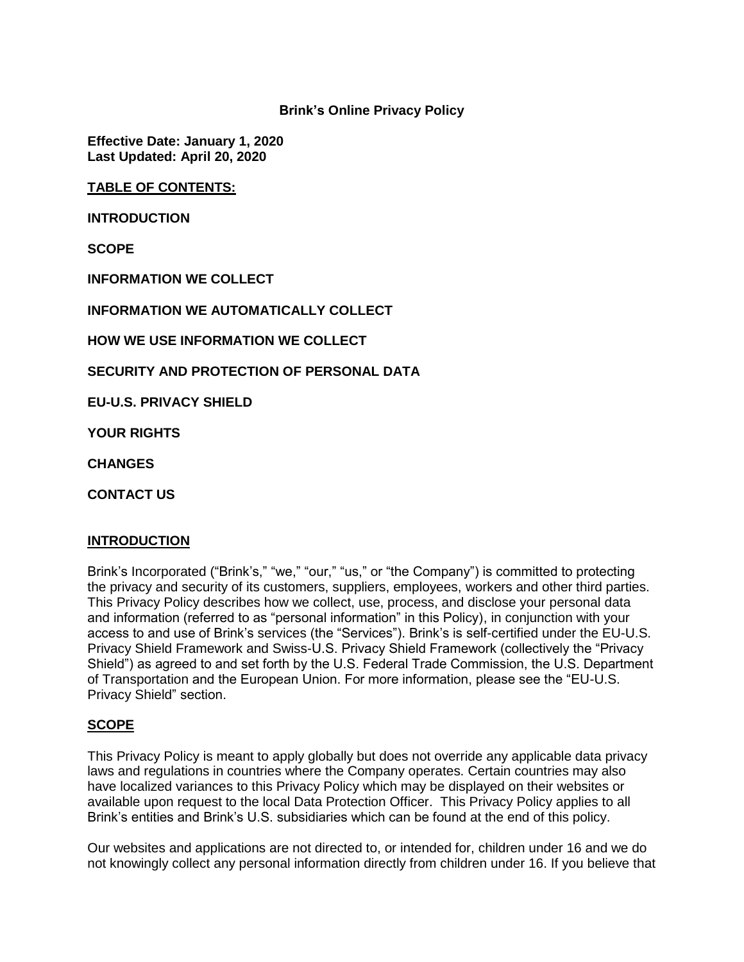**Brink's Online Privacy Policy**

**Effective Date: January 1, 2020 Last Updated: April 20, 2020**

**TABLE OF CONTENTS:**

**INTRODUCTION**

**SCOPE**

**INFORMATION WE COLLECT**

**INFORMATION WE AUTOMATICALLY COLLECT**

**HOW WE USE INFORMATION WE COLLECT**

**SECURITY AND PROTECTION OF PERSONAL DATA**

**EU-U.S. PRIVACY SHIELD**

**YOUR RIGHTS**

**CHANGES**

**CONTACT US**

### **INTRODUCTION**

Brink's Incorporated ("Brink's," "we," "our," "us," or "the Company") is committed to protecting the privacy and security of its customers, suppliers, employees, workers and other third parties. This Privacy Policy describes how we collect, use, process, and disclose your personal data and information (referred to as "personal information" in this Policy), in conjunction with your access to and use of Brink's services (the "Services"). Brink's is self-certified under the EU-U.S. Privacy Shield Framework and Swiss-U.S. Privacy Shield Framework (collectively the "Privacy Shield") as agreed to and set forth by the U.S. Federal Trade Commission, the U.S. Department of Transportation and the European Union. For more information, please see the "EU-U.S. Privacy Shield" section.

#### **SCOPE**

This Privacy Policy is meant to apply globally but does not override any applicable data privacy laws and regulations in countries where the Company operates. Certain countries may also have localized variances to this Privacy Policy which may be displayed on their websites or available upon request to the local Data Protection Officer. This Privacy Policy applies to all Brink's entities and Brink's U.S. subsidiaries which can be found at the end of this policy.

Our websites and applications are not directed to, or intended for, children under 16 and we do not knowingly collect any personal information directly from children under 16. If you believe that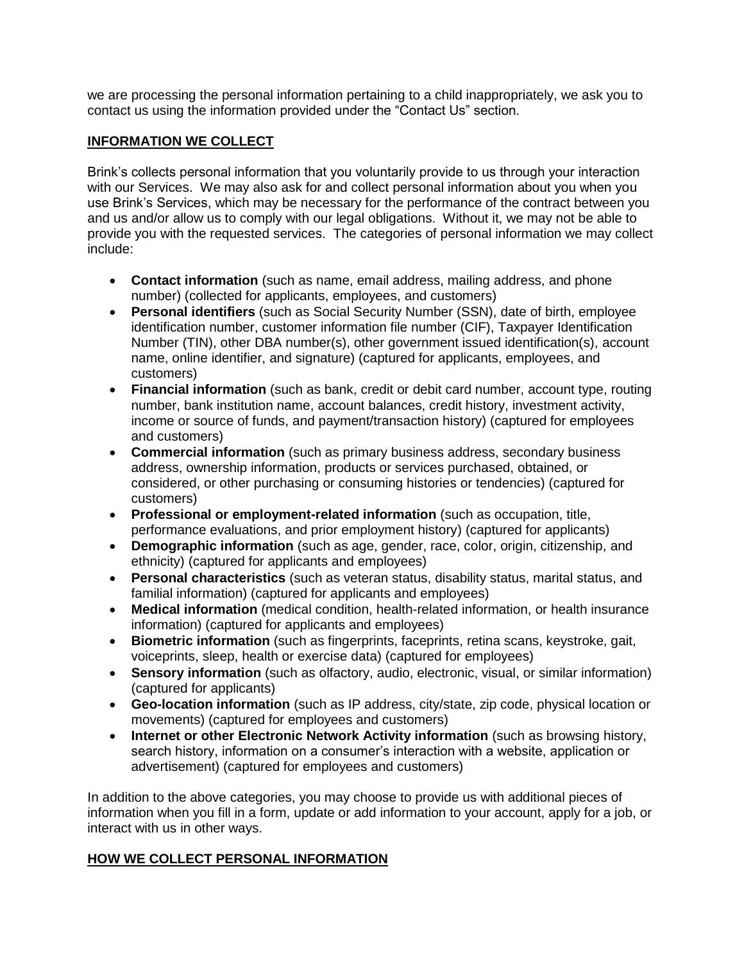we are processing the personal information pertaining to a child inappropriately, we ask you to contact us using the information provided under the "Contact Us" section.

### **INFORMATION WE COLLECT**

Brink's collects personal information that you voluntarily provide to us through your interaction with our Services. We may also ask for and collect personal information about you when you use Brink's Services, which may be necessary for the performance of the contract between you and us and/or allow us to comply with our legal obligations. Without it, we may not be able to provide you with the requested services. The categories of personal information we may collect include:

- **Contact information** (such as name, email address, mailing address, and phone number) (collected for applicants, employees, and customers)
- **Personal identifiers** (such as Social Security Number (SSN), date of birth, employee identification number, customer information file number (CIF), Taxpayer Identification Number (TIN), other DBA number(s), other government issued identification(s), account name, online identifier, and signature) (captured for applicants, employees, and customers)
- **Financial information** (such as bank, credit or debit card number, account type, routing number, bank institution name, account balances, credit history, investment activity, income or source of funds, and payment/transaction history) (captured for employees and customers)
- **Commercial information** (such as primary business address, secondary business address, ownership information, products or services purchased, obtained, or considered, or other purchasing or consuming histories or tendencies) (captured for customers)
- **Professional or employment-related information** (such as occupation, title, performance evaluations, and prior employment history) (captured for applicants)
- **Demographic information** (such as age, gender, race, color, origin, citizenship, and ethnicity) (captured for applicants and employees)
- **Personal characteristics** (such as veteran status, disability status, marital status, and familial information) (captured for applicants and employees)
- **Medical information** (medical condition, health-related information, or health insurance information) (captured for applicants and employees)
- **Biometric information** (such as fingerprints, faceprints, retina scans, keystroke, gait, voiceprints, sleep, health or exercise data) (captured for employees)
- **Sensory information** (such as olfactory, audio, electronic, visual, or similar information) (captured for applicants)
- **Geo-location information** (such as IP address, city/state, zip code, physical location or movements) (captured for employees and customers)
- **Internet or other Electronic Network Activity information** (such as browsing history, search history, information on a consumer's interaction with a website, application or advertisement) (captured for employees and customers)

In addition to the above categories, you may choose to provide us with additional pieces of information when you fill in a form, update or add information to your account, apply for a job, or interact with us in other ways.

### **HOW WE COLLECT PERSONAL INFORMATION**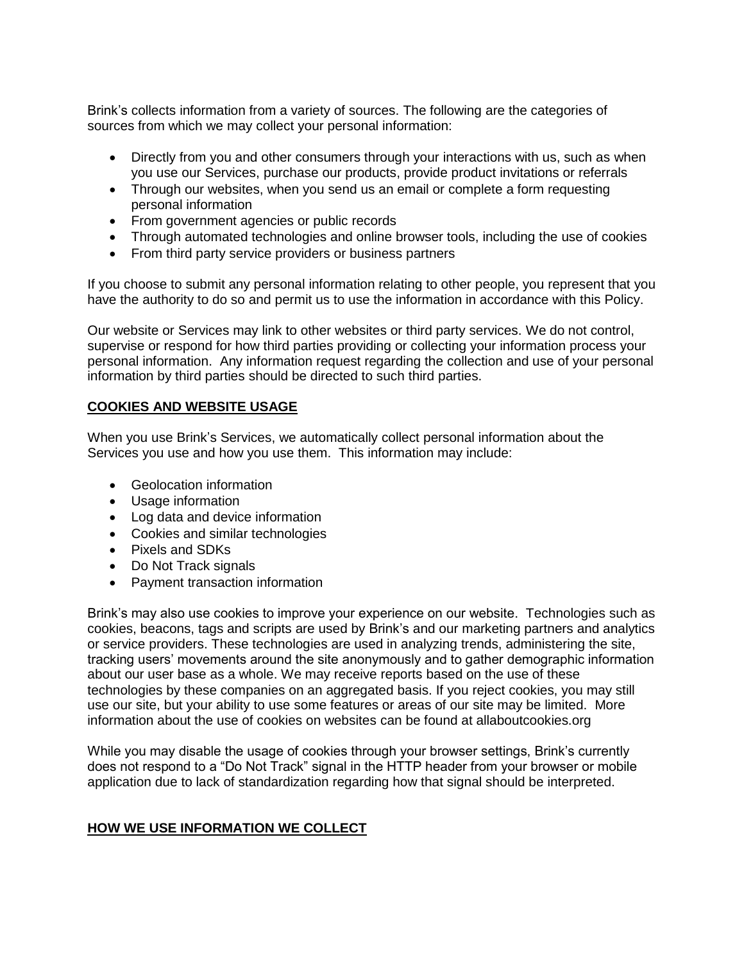Brink's collects information from a variety of sources. The following are the categories of sources from which we may collect your personal information:

- Directly from you and other consumers through your interactions with us, such as when you use our Services, purchase our products, provide product invitations or referrals
- Through our websites, when you send us an email or complete a form requesting personal information
- From government agencies or public records
- Through automated technologies and online browser tools, including the use of cookies
- From third party service providers or business partners

If you choose to submit any personal information relating to other people, you represent that you have the authority to do so and permit us to use the information in accordance with this Policy.

Our website or Services may link to other websites or third party services. We do not control, supervise or respond for how third parties providing or collecting your information process your personal information. Any information request regarding the collection and use of your personal information by third parties should be directed to such third parties.

### **COOKIES AND WEBSITE USAGE**

When you use Brink's Services, we automatically collect personal information about the Services you use and how you use them. This information may include:

- Geolocation information
- Usage information
- Log data and device information
- Cookies and similar technologies
- Pixels and SDKs
- Do Not Track signals
- Payment transaction information

Brink's may also use cookies to improve your experience on our website. Technologies such as cookies, beacons, tags and scripts are used by Brink's and our marketing partners and analytics or service providers. These technologies are used in analyzing trends, administering the site, tracking users' movements around the site anonymously and to gather demographic information about our user base as a whole. We may receive reports based on the use of these technologies by these companies on an aggregated basis. If you reject cookies, you may still use our site, but your ability to use some features or areas of our site may be limited. More information about the use of cookies on websites can be found at allaboutcookies.org

While you may disable the usage of cookies through your browser settings, Brink's currently does not respond to a "Do Not Track" signal in the HTTP header from your browser or mobile application due to lack of standardization regarding how that signal should be interpreted.

### **HOW WE USE INFORMATION WE COLLECT**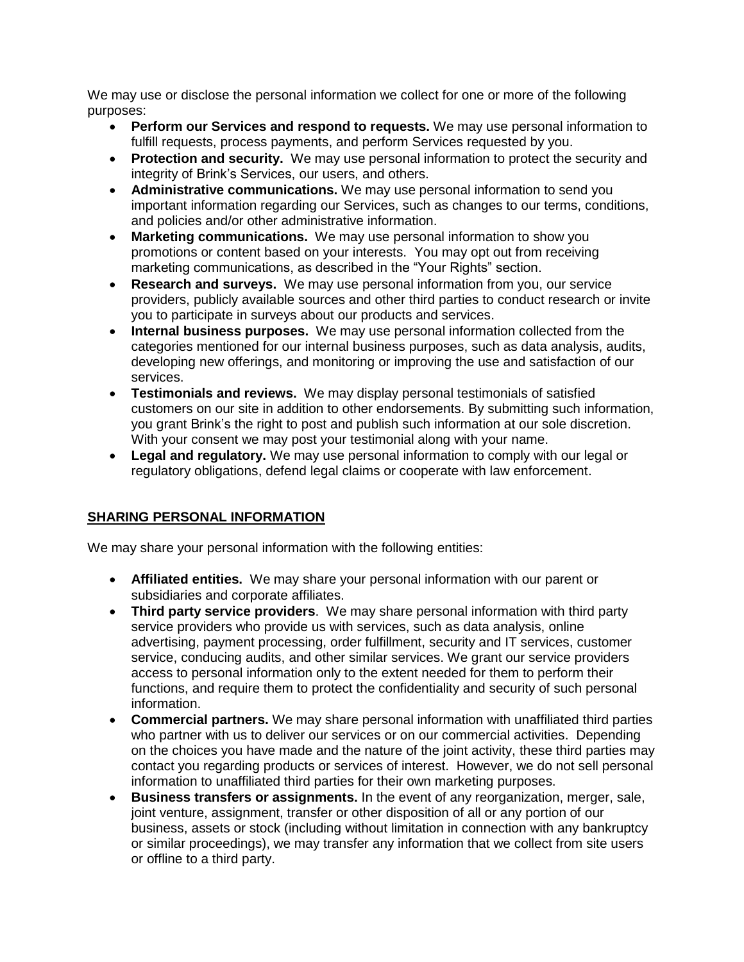We may use or disclose the personal information we collect for one or more of the following purposes:

- **Perform our Services and respond to requests.** We may use personal information to fulfill requests, process payments, and perform Services requested by you.
- **Protection and security.** We may use personal information to protect the security and integrity of Brink's Services, our users, and others.
- **Administrative communications.** We may use personal information to send you important information regarding our Services, such as changes to our terms, conditions, and policies and/or other administrative information.
- **Marketing communications.** We may use personal information to show you promotions or content based on your interests. You may opt out from receiving marketing communications, as described in the "Your Rights" section.
- **Research and surveys.** We may use personal information from you, our service providers, publicly available sources and other third parties to conduct research or invite you to participate in surveys about our products and services.
- **Internal business purposes.** We may use personal information collected from the categories mentioned for our internal business purposes, such as data analysis, audits, developing new offerings, and monitoring or improving the use and satisfaction of our services.
- **Testimonials and reviews.** We may display personal testimonials of satisfied customers on our site in addition to other endorsements. By submitting such information, you grant Brink's the right to post and publish such information at our sole discretion. With your consent we may post your testimonial along with your name.
- **Legal and regulatory.** We may use personal information to comply with our legal or regulatory obligations, defend legal claims or cooperate with law enforcement.

# **SHARING PERSONAL INFORMATION**

We may share your personal information with the following entities:

- **Affiliated entities.** We may share your personal information with our parent or subsidiaries and corporate affiliates.
- **Third party service providers**. We may share personal information with third party service providers who provide us with services, such as data analysis, online advertising, payment processing, order fulfillment, security and IT services, customer service, conducing audits, and other similar services. We grant our service providers access to personal information only to the extent needed for them to perform their functions, and require them to protect the confidentiality and security of such personal information.
- **Commercial partners.** We may share personal information with unaffiliated third parties who partner with us to deliver our services or on our commercial activities. Depending on the choices you have made and the nature of the joint activity, these third parties may contact you regarding products or services of interest. However, we do not sell personal information to unaffiliated third parties for their own marketing purposes.
- **Business transfers or assignments.** In the event of any reorganization, merger, sale, joint venture, assignment, transfer or other disposition of all or any portion of our business, assets or stock (including without limitation in connection with any bankruptcy or similar proceedings), we may transfer any information that we collect from site users or offline to a third party.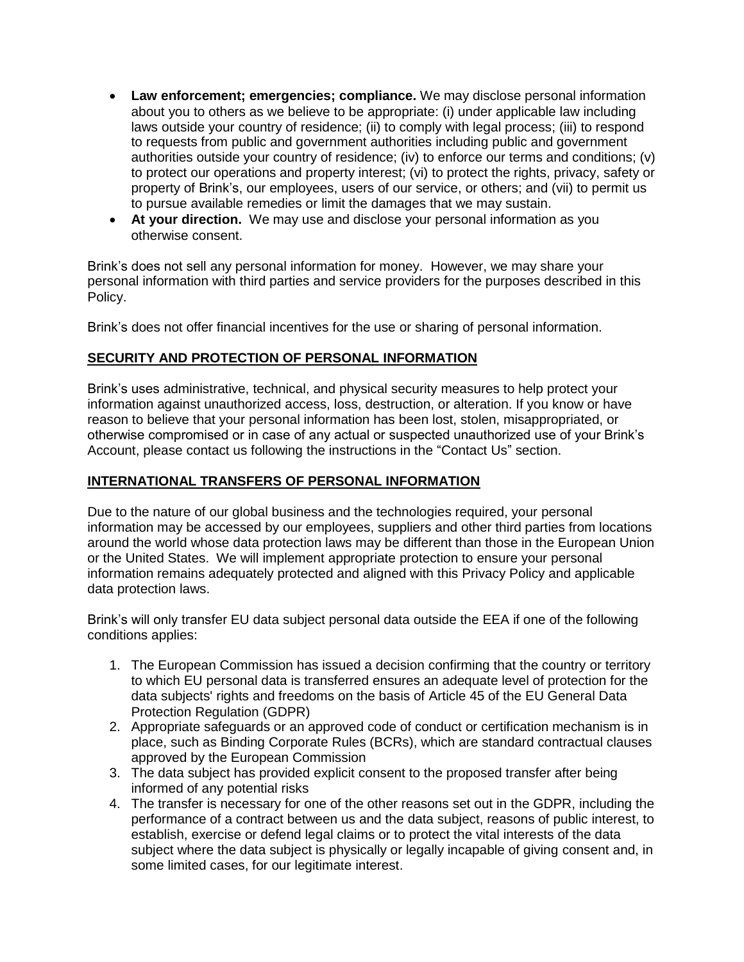- **Law enforcement; emergencies; compliance.** We may disclose personal information about you to others as we believe to be appropriate: (i) under applicable law including laws outside your country of residence; (ii) to comply with legal process; (iii) to respond to requests from public and government authorities including public and government authorities outside your country of residence; (iv) to enforce our terms and conditions; (v) to protect our operations and property interest; (vi) to protect the rights, privacy, safety or property of Brink's, our employees, users of our service, or others; and (vii) to permit us to pursue available remedies or limit the damages that we may sustain.
- **At your direction.** We may use and disclose your personal information as you otherwise consent.

Brink's does not sell any personal information for money. However, we may share your personal information with third parties and service providers for the purposes described in this Policy.

Brink's does not offer financial incentives for the use or sharing of personal information.

### **SECURITY AND PROTECTION OF PERSONAL INFORMATION**

Brink's uses administrative, technical, and physical security measures to help protect your information against unauthorized access, loss, destruction, or alteration. If you know or have reason to believe that your personal information has been lost, stolen, misappropriated, or otherwise compromised or in case of any actual or suspected unauthorized use of your Brink's Account, please contact us following the instructions in the "Contact Us" section.

#### **INTERNATIONAL TRANSFERS OF PERSONAL INFORMATION**

Due to the nature of our global business and the technologies required, your personal information may be accessed by our employees, suppliers and other third parties from locations around the world whose data protection laws may be different than those in the European Union or the United States. We will implement appropriate protection to ensure your personal information remains adequately protected and aligned with this Privacy Policy and applicable data protection laws.

Brink's will only transfer EU data subject personal data outside the EEA if one of the following conditions applies:

- 1. The European Commission has issued a decision confirming that the country or territory to which EU personal data is transferred ensures an adequate level of protection for the data subjects' rights and freedoms on the basis of Article 45 of the EU General Data Protection Regulation (GDPR)
- 2. Appropriate safeguards or an approved code of conduct or certification mechanism is in place, such as Binding Corporate Rules (BCRs), which are standard contractual clauses approved by the European Commission
- 3. The data subject has provided explicit consent to the proposed transfer after being informed of any potential risks
- 4. The transfer is necessary for one of the other reasons set out in the GDPR, including the performance of a contract between us and the data subject, reasons of public interest, to establish, exercise or defend legal claims or to protect the vital interests of the data subject where the data subject is physically or legally incapable of giving consent and, in some limited cases, for our legitimate interest.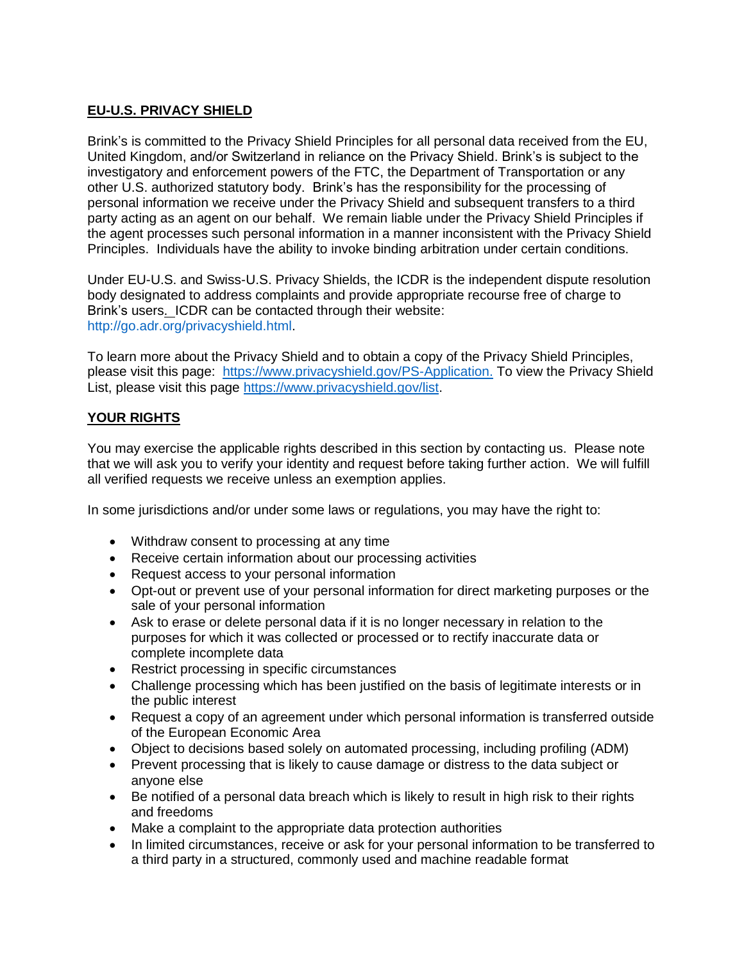# **EU-U.S. PRIVACY SHIELD**

Brink's is committed to the Privacy Shield Principles for all personal data received from the EU, United Kingdom, and/or Switzerland in reliance on the Privacy Shield. Brink's is subject to the investigatory and enforcement powers of the FTC, the Department of Transportation or any other U.S. authorized statutory body. Brink's has the responsibility for the processing of personal information we receive under the Privacy Shield and subsequent transfers to a third party acting as an agent on our behalf. We remain liable under the Privacy Shield Principles if the agent processes such personal information in a manner inconsistent with the Privacy Shield Principles. Individuals have the ability to invoke binding arbitration under certain conditions.

Under EU-U.S. and Swiss-U.S. Privacy Shields, the ICDR is the independent dispute resolution body designated to address complaints and provide appropriate recourse free of charge to Brink's users. ICDR can be contacted through their website: [http://go.adr.org/privacyshield.html.](http://go.adr.org/privacyshield.html)

To learn more about the Privacy Shield and to obtain a copy of the Privacy Shield Principles, please visit this page: [https://www.privacyshield.gov/PS-Application.](https://www.privacyshield.gov/PS-Application) To view the Privacy Shield List, please visit this page [https://www.privacyshield.gov/list.](https://www.privacyshield.gov/list)

# **YOUR RIGHTS**

You may exercise the applicable rights described in this section by contacting us. Please note that we will ask you to verify your identity and request before taking further action. We will fulfill all verified requests we receive unless an exemption applies.

In some jurisdictions and/or under some laws or regulations, you may have the right to:

- Withdraw consent to processing at any time
- Receive certain information about our processing activities
- Request access to your personal information
- Opt-out or prevent use of your personal information for direct marketing purposes or the sale of your personal information
- Ask to erase or delete personal data if it is no longer necessary in relation to the purposes for which it was collected or processed or to rectify inaccurate data or complete incomplete data
- Restrict processing in specific circumstances
- Challenge processing which has been justified on the basis of legitimate interests or in the public interest
- Request a copy of an agreement under which personal information is transferred outside of the European Economic Area
- Object to decisions based solely on automated processing, including profiling (ADM)
- Prevent processing that is likely to cause damage or distress to the data subject or anyone else
- Be notified of a personal data breach which is likely to result in high risk to their rights and freedoms
- Make a complaint to the appropriate data protection authorities
- In limited circumstances, receive or ask for your personal information to be transferred to a third party in a structured, commonly used and machine readable format